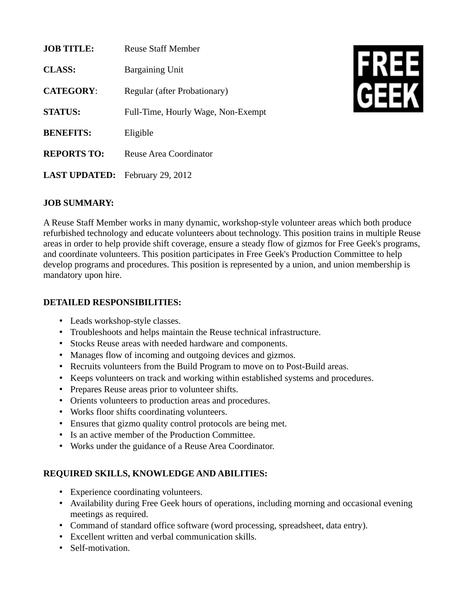| <b>JOB TITLE:</b>                      | <b>Reuse Staff Member</b>          |
|----------------------------------------|------------------------------------|
| <b>CLASS:</b>                          | <b>Bargaining Unit</b>             |
| <b>CATEGORY:</b>                       | Regular (after Probationary)       |
| <b>STATUS:</b>                         | Full-Time, Hourly Wage, Non-Exempt |
| <b>BENEFITS:</b>                       | Eligible                           |
| <b>REPORTS TO:</b>                     | Reuse Area Coordinator             |
| <b>LAST UPDATED:</b> February 29, 2012 |                                    |



## **JOB SUMMARY:**

A Reuse Staff Member works in many dynamic, workshop-style volunteer areas which both produce refurbished technology and educate volunteers about technology. This position trains in multiple Reuse areas in order to help provide shift coverage, ensure a steady flow of gizmos for Free Geek's programs, and coordinate volunteers. This position participates in Free Geek's Production Committee to help develop programs and procedures. This position is represented by a union, and union membership is mandatory upon hire.

## **DETAILED RESPONSIBILITIES:**

- Leads workshop-style classes.
- Troubleshoots and helps maintain the Reuse technical infrastructure.
- Stocks Reuse areas with needed hardware and components.
- Manages flow of incoming and outgoing devices and gizmos.
- Recruits volunteers from the Build Program to move on to Post-Build areas.
- Keeps volunteers on track and working within established systems and procedures.
- Prepares Reuse areas prior to volunteer shifts.
- Orients volunteers to production areas and procedures.
- Works floor shifts coordinating volunteers.
- Ensures that gizmo quality control protocols are being met.
- Is an active member of the Production Committee.
- Works under the guidance of a Reuse Area Coordinator.

## **REQUIRED SKILLS, KNOWLEDGE AND ABILITIES:**

- Experience coordinating volunteers.
- Availability during Free Geek hours of operations, including morning and occasional evening meetings as required.
- Command of standard office software (word processing, spreadsheet, data entry).
- Excellent written and verbal communication skills.
- Self-motivation.